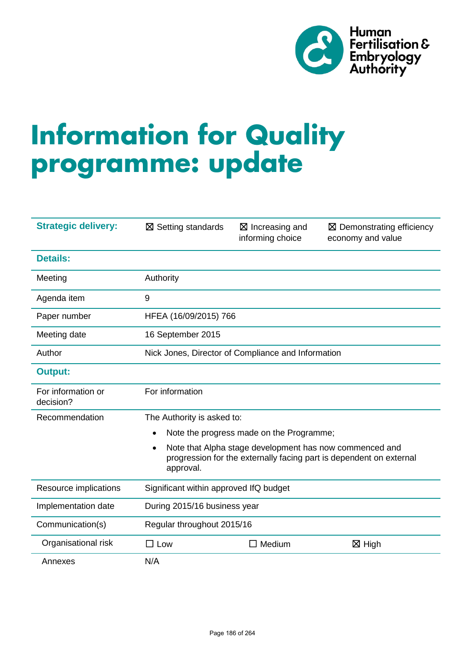

# **Information for Quality programme: update**

| <b>Strategic delivery:</b>      | $\boxtimes$ Setting standards                                                                                                                            | $\boxtimes$ Increasing and<br>informing choice | $\boxtimes$ Demonstrating efficiency<br>economy and value |
|---------------------------------|----------------------------------------------------------------------------------------------------------------------------------------------------------|------------------------------------------------|-----------------------------------------------------------|
| <b>Details:</b>                 |                                                                                                                                                          |                                                |                                                           |
| Meeting                         | Authority                                                                                                                                                |                                                |                                                           |
| Agenda item                     | 9                                                                                                                                                        |                                                |                                                           |
| Paper number                    | HFEA (16/09/2015) 766                                                                                                                                    |                                                |                                                           |
| Meeting date                    | 16 September 2015                                                                                                                                        |                                                |                                                           |
| Author                          | Nick Jones, Director of Compliance and Information                                                                                                       |                                                |                                                           |
| <b>Output:</b>                  |                                                                                                                                                          |                                                |                                                           |
| For information or<br>decision? | For information                                                                                                                                          |                                                |                                                           |
| Recommendation                  | The Authority is asked to:                                                                                                                               |                                                |                                                           |
|                                 | Note the progress made on the Programme;<br>$\bullet$                                                                                                    |                                                |                                                           |
|                                 | Note that Alpha stage development has now commenced and<br>$\bullet$<br>progression for the externally facing part is dependent on external<br>approval. |                                                |                                                           |
| Resource implications           | Significant within approved IfQ budget                                                                                                                   |                                                |                                                           |
| Implementation date             | During 2015/16 business year                                                                                                                             |                                                |                                                           |
| Communication(s)                | Regular throughout 2015/16                                                                                                                               |                                                |                                                           |
| Organisational risk             | $\square$ Low                                                                                                                                            | $\Box$ Medium                                  | $\boxtimes$ High                                          |
| Annexes                         | N/A                                                                                                                                                      |                                                |                                                           |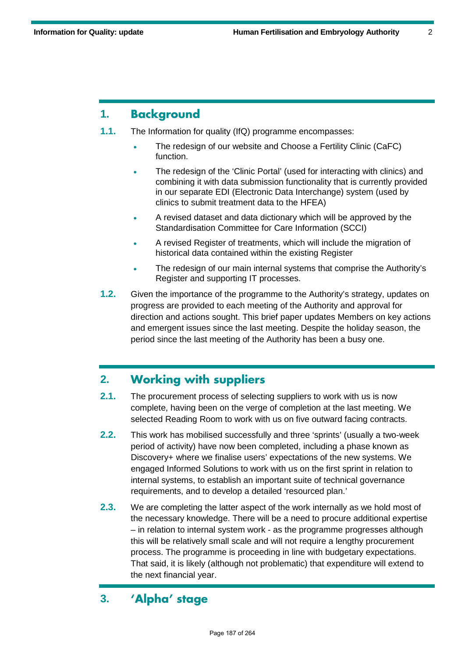# **1. Background**

- **1.1.** The Information for quality (IfQ) programme encompasses:
	- The redesign of our website and Choose a Fertility Clinic (CaFC) function.
	- The redesign of the 'Clinic Portal' (used for interacting with clinics) and combining it with data submission functionality that is currently provided in our separate EDI (Electronic Data Interchange) system (used by clinics to submit treatment data to the HFEA)
	- A revised dataset and data dictionary which will be approved by the Standardisation Committee for Care Information (SCCI)
	- A revised Register of treatments, which will include the migration of historical data contained within the existing Register
	- The redesign of our main internal systems that comprise the Authority's Register and supporting IT processes.
- **1.2.** Given the importance of the programme to the Authority's strategy, updates on progress are provided to each meeting of the Authority and approval for direction and actions sought. This brief paper updates Members on key actions and emergent issues since the last meeting. Despite the holiday season, the period since the last meeting of the Authority has been a busy one.

## **2. Working with suppliers**

- **2.1.** The procurement process of selecting suppliers to work with us is now complete, having been on the verge of completion at the last meeting. We selected Reading Room to work with us on five outward facing contracts.
- **2.2.** This work has mobilised successfully and three 'sprints' (usually a two-week period of activity) have now been completed, including a phase known as Discovery+ where we finalise users' expectations of the new systems. We engaged Informed Solutions to work with us on the first sprint in relation to internal systems, to establish an important suite of technical governance requirements, and to develop a detailed 'resourced plan.'
- **2.3.** We are completing the latter aspect of the work internally as we hold most of the necessary knowledge. There will be a need to procure additional expertise – in relation to internal system work - as the programme progresses although this will be relatively small scale and will not require a lengthy procurement process. The programme is proceeding in line with budgetary expectations. That said, it is likely (although not problematic) that expenditure will extend to the next financial year.

# **3. 'Alpha' stage**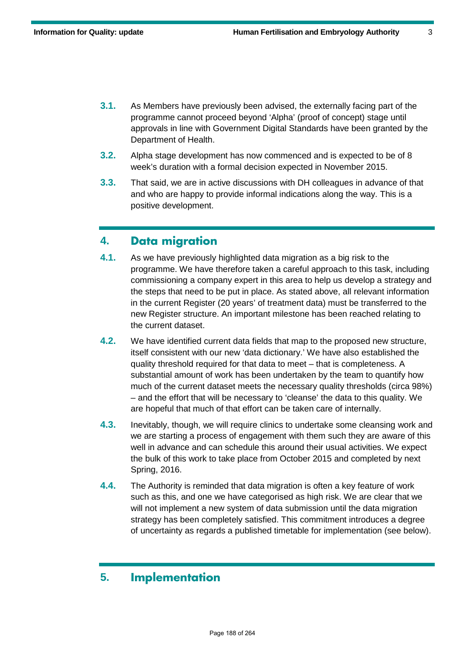- **3.1.** As Members have previously been advised, the externally facing part of the programme cannot proceed beyond 'Alpha' (proof of concept) stage until approvals in line with Government Digital Standards have been granted by the Department of Health.
- **3.2.** Alpha stage development has now commenced and is expected to be of 8 week's duration with a formal decision expected in November 2015.
- **3.3.** That said, we are in active discussions with DH colleagues in advance of that and who are happy to provide informal indications along the way. This is a positive development.

### **4. Data migration**

- **4.1.** As we have previously highlighted data migration as a big risk to the programme. We have therefore taken a careful approach to this task, including commissioning a company expert in this area to help us develop a strategy and the steps that need to be put in place. As stated above, all relevant information in the current Register (20 years' of treatment data) must be transferred to the new Register structure. An important milestone has been reached relating to the current dataset.
- **4.2.** We have identified current data fields that map to the proposed new structure, itself consistent with our new 'data dictionary.' We have also established the quality threshold required for that data to meet – that is completeness. A substantial amount of work has been undertaken by the team to quantify how much of the current dataset meets the necessary quality thresholds (circa 98%) – and the effort that will be necessary to 'cleanse' the data to this quality. We are hopeful that much of that effort can be taken care of internally.
- **4.3.** Inevitably, though, we will require clinics to undertake some cleansing work and we are starting a process of engagement with them such they are aware of this well in advance and can schedule this around their usual activities. We expect the bulk of this work to take place from October 2015 and completed by next Spring, 2016.
- **4.4.** The Authority is reminded that data migration is often a key feature of work such as this, and one we have categorised as high risk. We are clear that we will not implement a new system of data submission until the data migration strategy has been completely satisfied. This commitment introduces a degree of uncertainty as regards a published timetable for implementation (see below).

#### **5. Implementation**